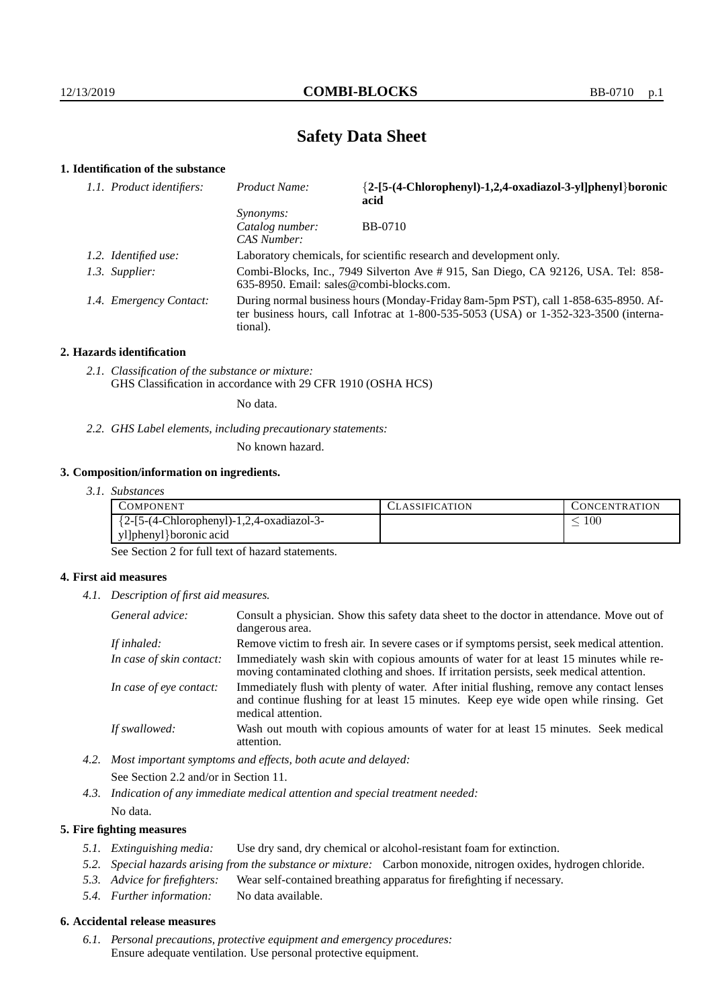# **Safety Data Sheet**

# **1. Identification of the substance**

| 1.1. Product identifiers: | Product Name:                                                                                                                                                                               | {2-[5-(4-Chlorophenyl)-1,2,4-oxadiazol-3-yl]phenyl}boronic<br>acid                |
|---------------------------|---------------------------------------------------------------------------------------------------------------------------------------------------------------------------------------------|-----------------------------------------------------------------------------------|
|                           | <i>Synonyms:</i><br>Catalog number:<br>CAS Number:                                                                                                                                          | <b>BB-0710</b>                                                                    |
| 1.2. Identified use:      |                                                                                                                                                                                             | Laboratory chemicals, for scientific research and development only.               |
| 1.3. Supplier:            | 635-8950. Email: sales@combi-blocks.com.                                                                                                                                                    | Combi-Blocks, Inc., 7949 Silverton Ave # 915, San Diego, CA 92126, USA. Tel: 858- |
| 1.4. Emergency Contact:   | During normal business hours (Monday-Friday 8am-5pm PST), call 1-858-635-8950. Af-<br>ter business hours, call Infotrac at $1-800-535-5053$ (USA) or $1-352-323-3500$ (interna-<br>tional). |                                                                                   |

#### **2. Hazards identification**

*2.1. Classification of the substance or mixture:* GHS Classification in accordance with 29 CFR 1910 (OSHA HCS)

No data.

*2.2. GHS Label elements, including precautionary statements:*

No known hazard.

#### **3. Composition/information on ingredients.**

*3.1. Substances*

| COMPONENT                                  | <b>ASSIFICATION</b> | CONCENTRATION |
|--------------------------------------------|---------------------|---------------|
| ${2-[5-(4-Chloropheny]-1,2,4-oxadiazol-3-$ |                     | 100           |
| yl]phenyl}boronic acid                     |                     |               |

See Section 2 for full text of hazard statements.

### **4. First aid measures**

*4.1. Description of first aid measures.*

| General advice:          | Consult a physician. Show this safety data sheet to the doctor in attendance. Move out of<br>dangerous area.                                                                                            |
|--------------------------|---------------------------------------------------------------------------------------------------------------------------------------------------------------------------------------------------------|
| If inhaled:              | Remove victim to fresh air. In severe cases or if symptoms persist, seek medical attention.                                                                                                             |
| In case of skin contact: | Immediately wash skin with copious amounts of water for at least 15 minutes while re-<br>moving contaminated clothing and shoes. If irritation persists, seek medical attention.                        |
| In case of eye contact:  | Immediately flush with plenty of water. After initial flushing, remove any contact lenses<br>and continue flushing for at least 15 minutes. Keep eye wide open while rinsing. Get<br>medical attention. |
| If swallowed:            | Wash out mouth with copious amounts of water for at least 15 minutes. Seek medical<br>attention.                                                                                                        |

*4.2. Most important symptoms and effects, both acute and delayed:* See Section 2.2 and/or in Section 11.

*4.3. Indication of any immediate medical attention and special treatment needed:* No data.

#### **5. Fire fighting measures**

- *5.1. Extinguishing media:* Use dry sand, dry chemical or alcohol-resistant foam for extinction.
- *5.2. Special hazards arising from the substance or mixture:* Carbon monoxide, nitrogen oxides, hydrogen chloride.
- *5.3. Advice for firefighters:* Wear self-contained breathing apparatus for firefighting if necessary.
- *5.4. Further information:* No data available.

### **6. Accidental release measures**

*6.1. Personal precautions, protective equipment and emergency procedures:* Ensure adequate ventilation. Use personal protective equipment.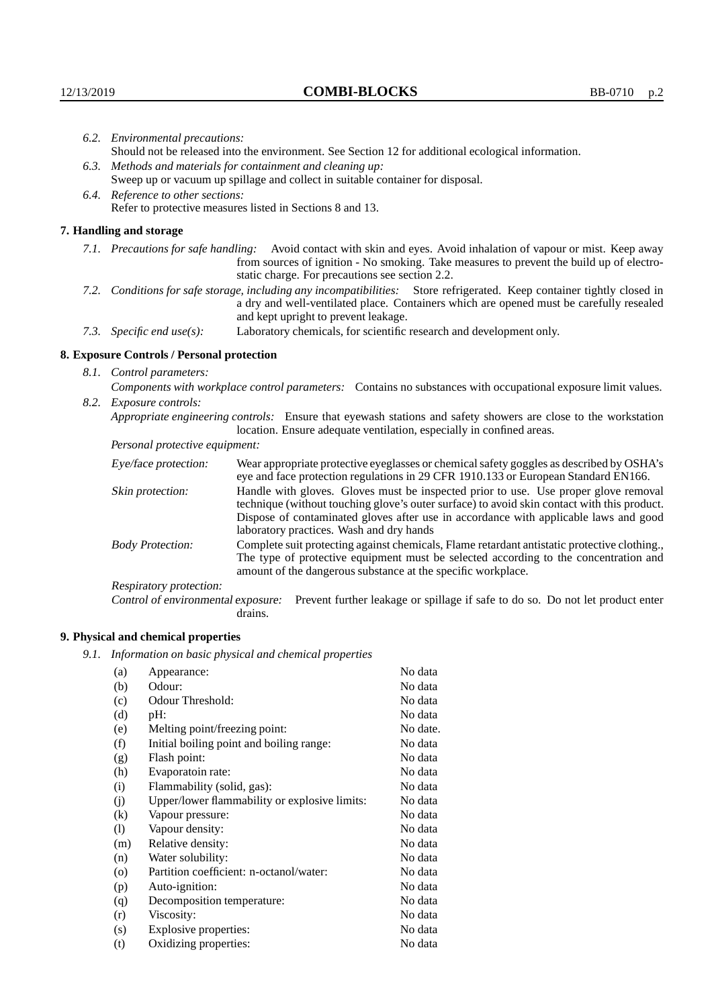|                                                                                                                         | 6.2. Environmental precautions:                                                                                                                                                        |                                                                                                                                                                                                                                                                    |  |
|-------------------------------------------------------------------------------------------------------------------------|----------------------------------------------------------------------------------------------------------------------------------------------------------------------------------------|--------------------------------------------------------------------------------------------------------------------------------------------------------------------------------------------------------------------------------------------------------------------|--|
|                                                                                                                         | Should not be released into the environment. See Section 12 for additional ecological information.                                                                                     |                                                                                                                                                                                                                                                                    |  |
|                                                                                                                         |                                                                                                                                                                                        | 6.3. Methods and materials for containment and cleaning up:                                                                                                                                                                                                        |  |
|                                                                                                                         | Sweep up or vacuum up spillage and collect in suitable container for disposal.                                                                                                         |                                                                                                                                                                                                                                                                    |  |
|                                                                                                                         | 6.4. Reference to other sections:                                                                                                                                                      |                                                                                                                                                                                                                                                                    |  |
|                                                                                                                         | Refer to protective measures listed in Sections 8 and 13.                                                                                                                              |                                                                                                                                                                                                                                                                    |  |
|                                                                                                                         | 7. Handling and storage                                                                                                                                                                |                                                                                                                                                                                                                                                                    |  |
|                                                                                                                         |                                                                                                                                                                                        | 7.1. Precautions for safe handling: Avoid contact with skin and eyes. Avoid inhalation of vapour or mist. Keep away<br>from sources of ignition - No smoking. Take measures to prevent the build up of electro-<br>static charge. For precautions see section 2.2. |  |
| 7.2. Conditions for safe storage, including any incompatibilities: Store refrigerated. Keep container tightly closed in |                                                                                                                                                                                        | a dry and well-ventilated place. Containers which are opened must be carefully resealed<br>and kept upright to prevent leakage.                                                                                                                                    |  |
|                                                                                                                         | 7.3. Specific end use(s):                                                                                                                                                              | Laboratory chemicals, for scientific research and development only.                                                                                                                                                                                                |  |
|                                                                                                                         | 8. Exposure Controls / Personal protection                                                                                                                                             |                                                                                                                                                                                                                                                                    |  |
|                                                                                                                         | 8.1. Control parameters:                                                                                                                                                               |                                                                                                                                                                                                                                                                    |  |
| Components with workplace control parameters: Contains no substances with occupational exposure limit values.           |                                                                                                                                                                                        |                                                                                                                                                                                                                                                                    |  |
|                                                                                                                         | 8.2. Exposure controls:                                                                                                                                                                |                                                                                                                                                                                                                                                                    |  |
|                                                                                                                         | Appropriate engineering controls: Ensure that eyewash stations and safety showers are close to the workstation<br>location. Ensure adequate ventilation, especially in confined areas. |                                                                                                                                                                                                                                                                    |  |
|                                                                                                                         | Personal protective equipment:                                                                                                                                                         |                                                                                                                                                                                                                                                                    |  |
|                                                                                                                         | Eye/face protection:                                                                                                                                                                   | Wear appropriate protective eyeglasses or chemical safety goggles as described by OSHA's<br>eye and face protection regulations in 29 CFR 1910.133 or European Standard EN166.                                                                                     |  |
|                                                                                                                         | Skin protection:                                                                                                                                                                       | Handle with gloves. Gloves must be inspected prior to use. Use proper glove removal<br>technique (without touching glove's outer surface) to avoid skin contact with this product.                                                                                 |  |

| Eye/face protection:               |                                                                                                                                                                                                                                                                                                                        | Wear appropriate protective eyeglasses or chemical safety goggles as described by OSHA's<br>eye and face protection regulations in 29 CFR 1910.133 or European Standard EN166. |
|------------------------------------|------------------------------------------------------------------------------------------------------------------------------------------------------------------------------------------------------------------------------------------------------------------------------------------------------------------------|--------------------------------------------------------------------------------------------------------------------------------------------------------------------------------|
| Skin protection:                   | Handle with gloves. Gloves must be inspected prior to use. Use proper glove removal<br>technique (without touching glove's outer surface) to avoid skin contact with this product.<br>Dispose of contaminated gloves after use in accordance with applicable laws and good<br>laboratory practices. Wash and dry hands |                                                                                                                                                                                |
| <b>Body Protection:</b>            | Complete suit protecting against chemicals, Flame retardant antistatic protective clothing.,<br>The type of protective equipment must be selected according to the concentration and<br>amount of the dangerous substance at the specific workplace.                                                                   |                                                                                                                                                                                |
| Respiratory protection:            |                                                                                                                                                                                                                                                                                                                        |                                                                                                                                                                                |
| Control of environmental exposure: | drains.                                                                                                                                                                                                                                                                                                                | Prevent further leakage or spillage if safe to do so. Do not let product enter                                                                                                 |

# **9. Physical and chemical properties**

*9.1. Information on basic physical and chemical properties*

| (a)                        | Appearance:                                   | No data  |
|----------------------------|-----------------------------------------------|----------|
| (b)                        | Odour:                                        | No data  |
| (c)                        | Odour Threshold:                              | No data  |
| (d)                        | pH:                                           | No data  |
| (e)                        | Melting point/freezing point:                 | No date. |
| (f)                        | Initial boiling point and boiling range:      | No data  |
| (g)                        | Flash point:                                  | No data  |
| (h)                        | Evaporatoin rate:                             | No data  |
| (i)                        | Flammability (solid, gas):                    | No data  |
| (j)                        | Upper/lower flammability or explosive limits: | No data  |
| $\left( k\right)$          | Vapour pressure:                              | No data  |
| $\left( \mathrm{l}\right)$ | Vapour density:                               | No data  |
| (m)                        | Relative density:                             | No data  |
| (n)                        | Water solubility:                             | No data  |
| $\circ$                    | Partition coefficient: n-octanol/water:       | No data  |
| (p)                        | Auto-ignition:                                | No data  |
| (q)                        | Decomposition temperature:                    | No data  |
| (r)                        | Viscosity:                                    | No data  |
| (s)                        | Explosive properties:                         | No data  |
| (t)                        | Oxidizing properties:                         | No data  |